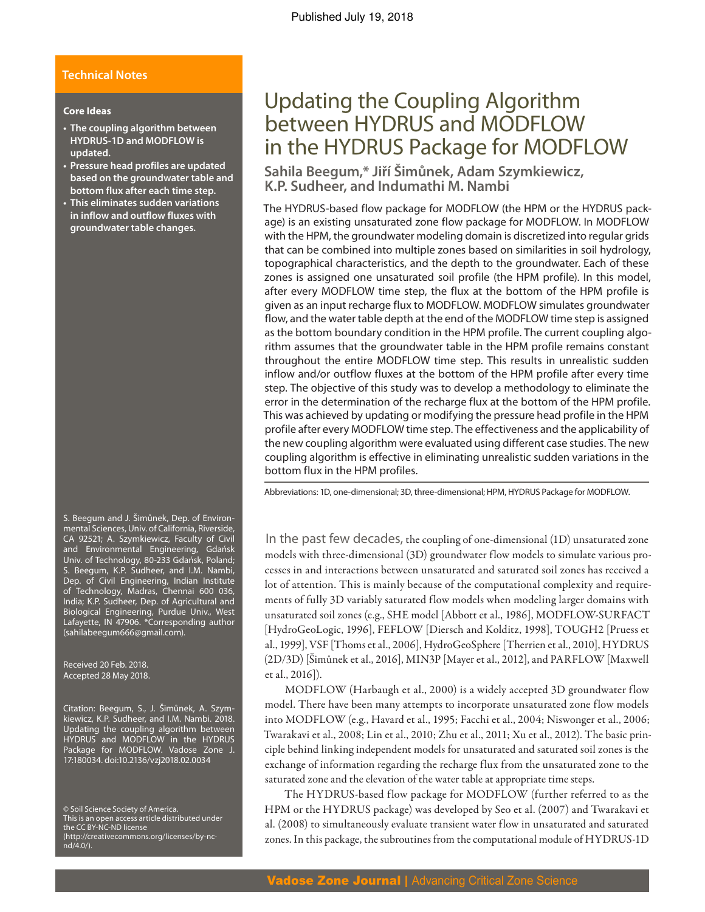#### **Technical Notes**

#### **Core Ideas**

- **• The coupling algorithm between HYDRUS-1D and MODFLOW is updated.**
- **• Pressure head profiles are updated based on the groundwater table and bottom flux after each time step.**
- **• This eliminates sudden variations in inflow and outflow fluxes with groundwater table changes.**

S. Beegum and J. Šimůnek, Dep. of Environmental Sciences, Univ. of California, Riverside, CA 92521; A. Szymkiewicz, Faculty of Civil and Environmental Engineering, Gdańsk Univ. of Technology, 80-233 Gdańsk, Poland; S. Beegum, K.P. Sudheer, and I.M. Nambi, Dep. of Civil Engineering, Indian Institute of Technology, Madras, Chennai 600 036, India; K.P. Sudheer, Dep. of Agricultural and Biological Engineering, Purdue Univ., West Lafayette, IN 47906. \*Corresponding author (sahilabeegum666@gmail.com).

Received 20 Feb. 2018. Accepted 28 May 2018.

Citation: Beegum, S., J. Šimůnek, A. Szymkiewicz, K.P. Sudheer, and I.M. Nambi. 2018. Updating the coupling algorithm between HYDRUS and MODFLOW in the HYDRUS Package for MODFLOW. Vadose Zone J. 17:180034. doi:10.2136/vzj2018.02.0034

© Soil Science Society of America. This is an open access article distributed under the CC BY-NC-ND license (http://creativecommons.org/licenses/by-ncnd/4.0/).

# Updating the Coupling Algorithm between HYDRUS and MODFLOW in the HYDRUS Package for MODFLOW

**Sahila Beegum,\* Jiří Šimůnek, Adam Szymkiewicz, K.P. Sudheer, and Indumathi M. Nambi**

The HYDRUS-based flow package for MODFLOW (the HPM or the HYDRUS package) is an existing unsaturated zone flow package for MODFLOW. In MODFLOW with the HPM, the groundwater modeling domain is discretized into regular grids that can be combined into multiple zones based on similarities in soil hydrology, topographical characteristics, and the depth to the groundwater. Each of these zones is assigned one unsaturated soil profile (the HPM profile). In this model, after every MODFLOW time step, the flux at the bottom of the HPM profile is given as an input recharge flux to MODFLOW. MODFLOW simulates groundwater flow, and the water table depth at the end of the MODFLOW time step is assigned as the bottom boundary condition in the HPM profile. The current coupling algorithm assumes that the groundwater table in the HPM profile remains constant throughout the entire MODFLOW time step. This results in unrealistic sudden inflow and/or outflow fluxes at the bottom of the HPM profile after every time step. The objective of this study was to develop a methodology to eliminate the error in the determination of the recharge flux at the bottom of the HPM profile. This was achieved by updating or modifying the pressure head profile in the HPM profile after every MODFLOW time step. The effectiveness and the applicability of the new coupling algorithm were evaluated using different case studies. The new coupling algorithm is effective in eliminating unrealistic sudden variations in the bottom flux in the HPM profiles.

Abbreviations: 1D, one-dimensional; 3D, three-dimensional; HPM, HYDRUS Package for MODFLOW.

In the past few decades, the coupling of one-dimensional (1D) unsaturated zone models with three-dimensional (3D) groundwater flow models to simulate various processes in and interactions between unsaturated and saturated soil zones has received a lot of attention. This is mainly because of the computational complexity and requirements of fully 3D variably saturated flow models when modeling larger domains with unsaturated soil zones (e.g., SHE model [Abbott et al., 1986], MODFLOW-SURFACT [HydroGeoLogic, 1996], FEFLOW [Diersch and Kolditz, 1998], TOUGH2 [Pruess et al., 1999], VSF [Thoms et al., 2006], HydroGeoSphere [Therrien et al., 2010], HYDRUS (2D/3D) [Šimůnek et al., 2016], MIN3P [Mayer et al., 2012], and PARFLOW [Maxwell et al., 2016]).

MODFLOW (Harbaugh et al., 2000) is a widely accepted 3D groundwater flow model. There have been many attempts to incorporate unsaturated zone flow models into MODFLOW (e.g., Havard et al., 1995; Facchi et al., 2004; Niswonger et al., 2006; Twarakavi et al., 2008; Lin et al., 2010; Zhu et al., 2011; Xu et al., 2012). The basic principle behind linking independent models for unsaturated and saturated soil zones is the exchange of information regarding the recharge flux from the unsaturated zone to the saturated zone and the elevation of the water table at appropriate time steps.

The HYDRUS-based flow package for MODFLOW (further referred to as the HPM or the HYDRUS package) was developed by Seo et al. (2007) and Twarakavi et al. (2008) to simultaneously evaluate transient water flow in unsaturated and saturated zones. In this package, the subroutines from the computational module of HYDRUS-1D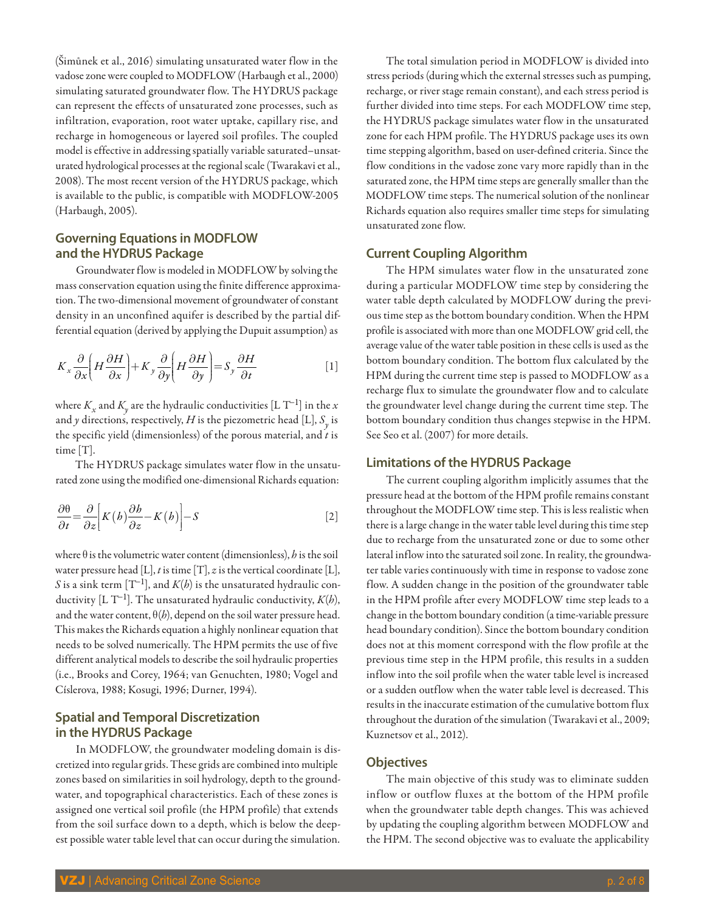(Šimůnek et al., 2016) simulating unsaturated water flow in the vadose zone were coupled to MODFLOW (Harbaugh et al., 2000) simulating saturated groundwater flow. The HYDRUS package can represent the effects of unsaturated zone processes, such as infiltration, evaporation, root water uptake, capillary rise, and recharge in homogeneous or layered soil profiles. The coupled model is effective in addressing spatially variable saturated–unsaturated hydrological processes at the regional scale (Twarakavi et al., 2008). The most recent version of the HYDRUS package, which is available to the public, is compatible with MODFLOW-2005 (Harbaugh, 2005).

# **Governing Equations in MODFLOW and the HYDRUS Package**

Groundwater flow is modeled in MODFLOW by solving the mass conservation equation using the finite difference approximation. The two-dimensional movement of groundwater of constant density in an unconfined aquifer is described by the partial differential equation (derived by applying the Dupuit assumption) as

$$
K_x \frac{\partial}{\partial x} \left( H \frac{\partial H}{\partial x} \right) + K_y \frac{\partial}{\partial y} \left( H \frac{\partial H}{\partial y} \right) = S_y \frac{\partial H}{\partial t}
$$
 [1]

where  $K_x$  and  $K_y$  are the hydraulic conductivities  $[L T^{-1}]$  in the  $x$ and  $y$  directions, respectively,  $H$  is the piezometric head [L],  $S_{y}^{}$  is the specific yield (dimensionless) of the porous material, and  $t$  is time [T].

The HYDRUS package simulates water flow in the unsaturated zone using the modified one-dimensional Richards equation:

$$
\frac{\partial \theta}{\partial t} = \frac{\partial}{\partial z} \left[ K(h) \frac{\partial h}{\partial z} - K(h) \right] - S \tag{2}
$$

where  $\theta$  is the volumetric water content (dimensionless), h is the soil water pressure head [L],  $t$  is time [T],  $z$  is the vertical coordinate [L], S is a sink term  $[T^{-1}]$ , and  $K(h)$  is the unsaturated hydraulic conductivity [L T<sup>-1</sup>]. The unsaturated hydraulic conductivity,  $K(h)$ , and the water content,  $\theta(h)$ , depend on the soil water pressure head. This makes the Richards equation a highly nonlinear equation that needs to be solved numerically. The HPM permits the use of five different analytical models to describe the soil hydraulic properties (i.e., Brooks and Corey, 1964; van Genuchten, 1980; Vogel and Císlerova, 1988; Kosugi, 1996; Durner, 1994).

## **Spatial and Temporal Discretization in the HYDRUS Package**

In MODFLOW, the groundwater modeling domain is discretized into regular grids. These grids are combined into multiple zones based on similarities in soil hydrology, depth to the groundwater, and topographical characteristics. Each of these zones is assigned one vertical soil profile (the HPM profile) that extends from the soil surface down to a depth, which is below the deepest possible water table level that can occur during the simulation.

The total simulation period in MODFLOW is divided into stress periods (during which the external stresses such as pumping, recharge, or river stage remain constant), and each stress period is further divided into time steps. For each MODFLOW time step, the HYDRUS package simulates water flow in the unsaturated zone for each HPM profile. The HYDRUS package uses its own time stepping algorithm, based on user-defined criteria. Since the flow conditions in the vadose zone vary more rapidly than in the saturated zone, the HPM time steps are generally smaller than the MODFLOW time steps. The numerical solution of the nonlinear Richards equation also requires smaller time steps for simulating unsaturated zone flow.

#### **Current Coupling Algorithm**

The HPM simulates water flow in the unsaturated zone during a particular MODFLOW time step by considering the water table depth calculated by MODFLOW during the previous time step as the bottom boundary condition. When the HPM profile is associated with more than one MODFLOW grid cell, the average value of the water table position in these cells is used as the bottom boundary condition. The bottom flux calculated by the HPM during the current time step is passed to MODFLOW as a recharge flux to simulate the groundwater flow and to calculate the groundwater level change during the current time step. The bottom boundary condition thus changes stepwise in the HPM. See Seo et al. (2007) for more details.

# **Limitations of the HYDRUS Package**

The current coupling algorithm implicitly assumes that the pressure head at the bottom of the HPM profile remains constant throughout the MODFLOW time step. This is less realistic when there is a large change in the water table level during this time step due to recharge from the unsaturated zone or due to some other lateral inflow into the saturated soil zone. In reality, the groundwater table varies continuously with time in response to vadose zone flow. A sudden change in the position of the groundwater table in the HPM profile after every MODFLOW time step leads to a change in the bottom boundary condition (a time-variable pressure head boundary condition). Since the bottom boundary condition does not at this moment correspond with the flow profile at the previous time step in the HPM profile, this results in a sudden inflow into the soil profile when the water table level is increased or a sudden outflow when the water table level is decreased. This results in the inaccurate estimation of the cumulative bottom flux throughout the duration of the simulation (Twarakavi et al., 2009; Kuznetsov et al., 2012).

#### **Objectives**

The main objective of this study was to eliminate sudden inflow or outflow fluxes at the bottom of the HPM profile when the groundwater table depth changes. This was achieved by updating the coupling algorithm between MODFLOW and the HPM. The second objective was to evaluate the applicability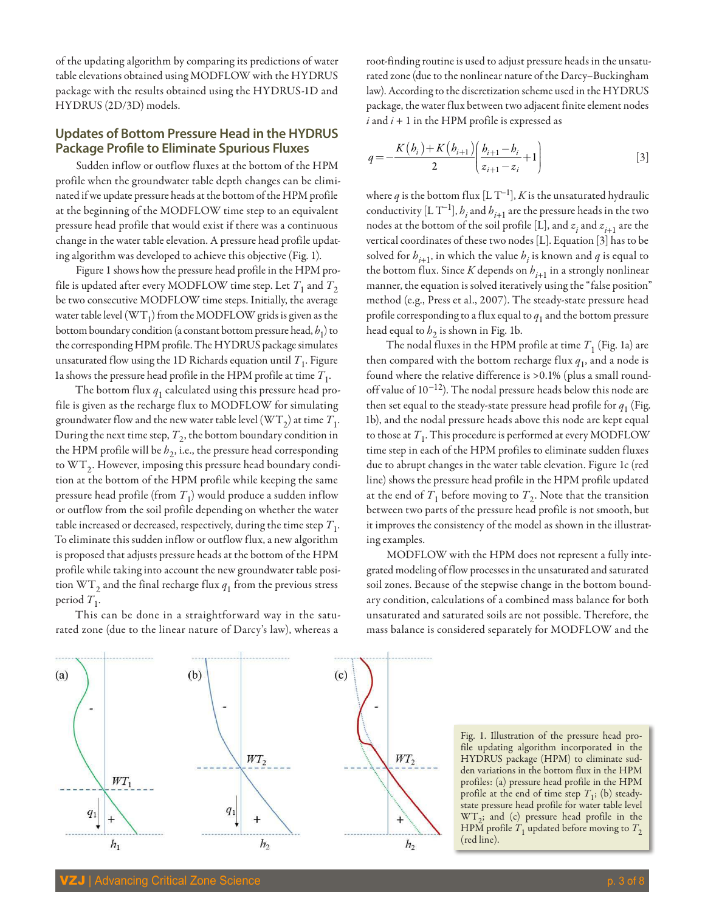of the updating algorithm by comparing its predictions of water table elevations obtained using MODFLOW with the HYDRUS package with the results obtained using the HYDRUS-1D and HYDRUS (2D/3D) models.

## **Updates of Bottom Pressure Head in the HYDRUS Package Profile to Eliminate Spurious Fluxes**

Sudden inflow or outflow fluxes at the bottom of the HPM profile when the groundwater table depth changes can be eliminated if we update pressure heads at the bottom of the HPM profile at the beginning of the MODFLOW time step to an equivalent pressure head profile that would exist if there was a continuous change in the water table elevation. A pressure head profile updating algorithm was developed to achieve this objective (Fig. 1).

Figure 1 shows how the pressure head profile in the HPM profile is updated after every MODFLOW time step. Let  $T_1$  and  $T_2$ be two consecutive MODFLOW time steps. Initially, the average water table level  $(\mathrm{WT}_1)$  from the MODFLOW grids is given as the bottom boundary condition (a constant bottom pressure head,  $h_1$ ) to the corresponding HPM profile. The HYDRUS package simulates unsaturated flow using the 1D Richards equation until  $T_1$ . Figure la shows the pressure head profile in the HPM profile at time  $T_1$ .

The bottom flux  $q_1$  calculated using this pressure head profile is given as the recharge flux to MODFLOW for simulating groundwater flow and the new water table level  $(WT_2)$  at time  $T_1$ . During the next time step,  $T_2$ , the bottom boundary condition in the HPM profile will be  $h_2$ , i.e., the pressure head corresponding to  $\mathrm{WT}_2.$  However, imposing this pressure head boundary condition at the bottom of the HPM profile while keeping the same pressure head profile (from  $T_{\rm 1)}$ ) would produce a sudden inflow or outflow from the soil profile depending on whether the water table increased or decreased, respectively, during the time step  $T_1$ . To eliminate this sudden inflow or outflow flux, a new algorithm is proposed that adjusts pressure heads at the bottom of the HPM profile while taking into account the new groundwater table position  $\mathrm{WT}_2$  and the final recharge flux  $q_1$  from the previous stress period  $T_1$ .

This can be done in a straightforward way in the saturated zone (due to the linear nature of Darcy's law), whereas a

root-finding routine is used to adjust pressure heads in the unsaturated zone (due to the nonlinear nature of the Darcy–Buckingham law). According to the discretization scheme used in the HYDRUS package, the water flux between two adjacent finite element nodes  $i$  and  $i + 1$  in the HPM profile is expressed as

$$
q = -\frac{K(b_i) + K(b_{i+1})}{2} \left( \frac{b_{i+1} - b_i}{z_{i+1} - z_i} + 1 \right)
$$
 [3]

where q is the bottom flux [L T<sup>-1</sup>], K is the unsaturated hydraulic conductivity [L T<sup>-1</sup>],  $h_i$  and  $h_{i+1}$  are the pressure heads in the two nodes at the bottom of the soil profile [L], and  $z_i$  and  $z_{i+1}$  are the vertical coordinates of these two nodes [L]. Equation [3] has to be solved for  $h_{i+1}$ , in which the value  $h_i$  is known and  $q$  is equal to the bottom flux. Since K depends on  $h_{i+1}$  in a strongly nonlinear manner, the equation is solved iteratively using the "false position" method (e.g., Press et al., 2007). The steady-state pressure head profile corresponding to a flux equal to  $q_1$  and the bottom pressure head equal to  $h_2$  is shown in Fig. 1b.

The nodal fluxes in the HPM profile at time  $T_{1}$  (Fig. 1a) are then compared with the bottom recharge flux  $q_1$ , and a node is found where the relative difference is >0.1% (plus a small roundoff value of 10−12). The nodal pressure heads below this node are then set equal to the steady-state pressure head profile for  $q_1$  (Fig. 1b), and the nodal pressure heads above this node are kept equal to those at  $T_1$ . This procedure is performed at every MODFLOW time step in each of the HPM profiles to eliminate sudden fluxes due to abrupt changes in the water table elevation. Figure 1c (red line) shows the pressure head profile in the HPM profile updated at the end of  $T_1$  before moving to  $T_2$ . Note that the transition between two parts of the pressure head profile is not smooth, but it improves the consistency of the model as shown in the illustrating examples.

MODFLOW with the HPM does not represent a fully integrated modeling of flow processes in the unsaturated and saturated soil zones. Because of the stepwise change in the bottom boundary condition, calculations of a combined mass balance for both unsaturated and saturated soils are not possible. Therefore, the mass balance is considered separately for MODFLOW and the



Fig. 1. Illustration of the pressure head profile updating algorithm incorporated in the HYDRUS package (HPM) to eliminate sudden variations in the bottom flux in the HPM profiles: (a) pressure head profile in the HPM profile at the end of time step  $T_1$ ; (b) steadystate pressure head profile for water table level  $WT<sub>2</sub>$ ; and (c) pressure head profile in the HPM profile  $T_1$  updated before moving to  $T_2$ (red line).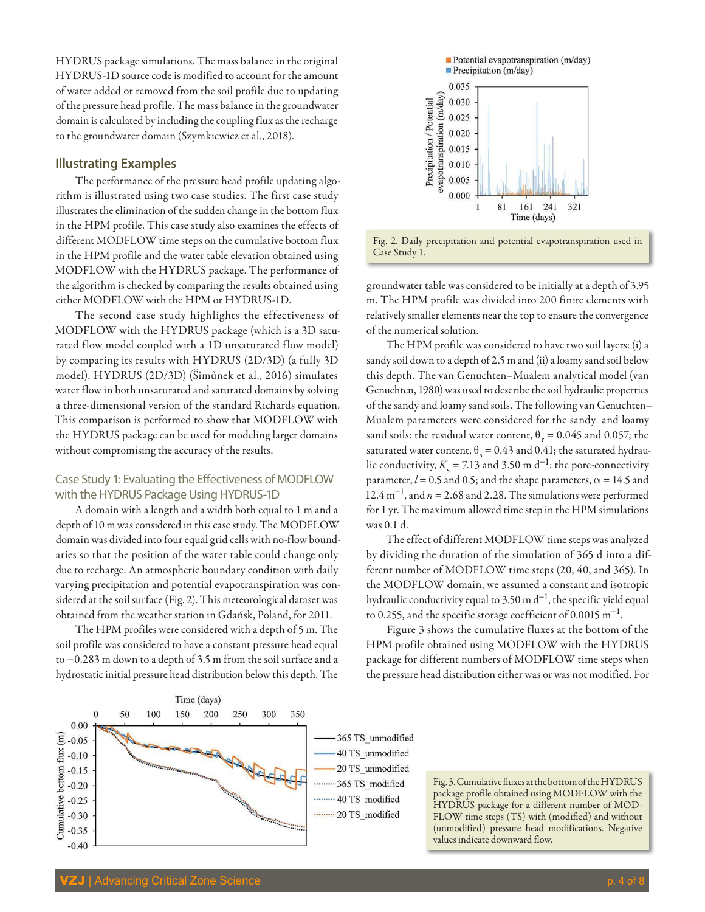HYDRUS package simulations. The mass balance in the original HYDRUS-1D source code is modified to account for the amount of water added or removed from the soil profile due to updating of the pressure head profile. The mass balance in the groundwater domain is calculated by including the coupling flux as the recharge to the groundwater domain (Szymkiewicz et al., 2018).

## **Illustrating Examples**

The performance of the pressure head profile updating algorithm is illustrated using two case studies. The first case study illustrates the elimination of the sudden change in the bottom flux in the HPM profile. This case study also examines the effects of different MODFLOW time steps on the cumulative bottom flux in the HPM profile and the water table elevation obtained using MODFLOW with the HYDRUS package. The performance of the algorithm is checked by comparing the results obtained using either MODFLOW with the HPM or HYDRUS-1D.

The second case study highlights the effectiveness of MODFLOW with the HYDRUS package (which is a 3D saturated flow model coupled with a 1D unsaturated flow model) by comparing its results with HYDRUS (2D/3D) (a fully 3D model). HYDRUS (2D/3D) (Šimůnek et al., 2016) simulates water flow in both unsaturated and saturated domains by solving a three-dimensional version of the standard Richards equation. This comparison is performed to show that MODFLOW with the HYDRUS package can be used for modeling larger domains without compromising the accuracy of the results.

#### Case Study 1: Evaluating the Efectiveness of MODFLOW with the HYDRUS Package Using HYDRUS-1D

A domain with a length and a width both equal to 1 m and a depth of 10 m was considered in this case study. The MODFLOW domain was divided into four equal grid cells with no-flow boundaries so that the position of the water table could change only due to recharge. An atmospheric boundary condition with daily varying precipitation and potential evapotranspiration was considered at the soil surface (Fig. 2). This meteorological dataset was obtained from the weather station in Gdańsk, Poland, for 2011.

The HPM profiles were considered with a depth of 5 m. The soil profile was considered to have a constant pressure head equal to −0.283 m down to a depth of 3.5 m from the soil surface and a hydrostatic initial pressure head distribution below this depth. The





groundwater table was considered to be initially at a depth of 3.95 m. The HPM profile was divided into 200 finite elements with relatively smaller elements near the top to ensure the convergence of the numerical solution.

The HPM profile was considered to have two soil layers: (i) a sandy soil down to a depth of 2.5 m and (ii) a loamy sand soil below this depth. The van Genuchten–Mualem analytical model (van Genuchten, 1980) was used to describe the soil hydraulic properties of the sandy and loamy sand soils. The following van Genuchten– Mualem parameters were considered for the sandy and loamy sand soils: the residual water content,  $\theta_r = 0.045$  and 0.057; the saturated water content,  $\theta_s = 0.43$  and 0.41; the saturated hydraulic conductivity,  $K_s = 7.13$  and 3.50 m d<sup>-1</sup>; the pore-connectivity parameter,  $l = 0.5$  and 0.5; and the shape parameters,  $\alpha = 14.5$  and 12.4 m<sup>-1</sup>, and  $n = 2.68$  and 2.28. The simulations were performed for 1 yr. The maximum allowed time step in the HPM simulations was 0.1 d.

The effect of different MODFLOW time steps was analyzed by dividing the duration of the simulation of 365 d into a different number of MODFLOW time steps (20, 40, and 365). In the MODFLOW domain, we assumed a constant and isotropic hydraulic conductivity equal to 3.50 m  $d^{-1}$ , the specific yield equal to 0.255, and the specific storage coefficient of 0.0015  $\mathrm{m}^{-1}.$ 

Figure 3 shows the cumulative fluxes at the bottom of the HPM profile obtained using MODFLOW with the HYDRUS package for different numbers of MODFLOW time steps when the pressure head distribution either was or was not modified. For



Fig. 3. Cumulative fluxes at the bottom of the HYDRUS package profile obtained using MODFLOW with the HYDRUS package for a different number of MOD-FLOW time steps (TS) with (modified) and without (unmodified) pressure head modifications. Negative values indicate downward flow.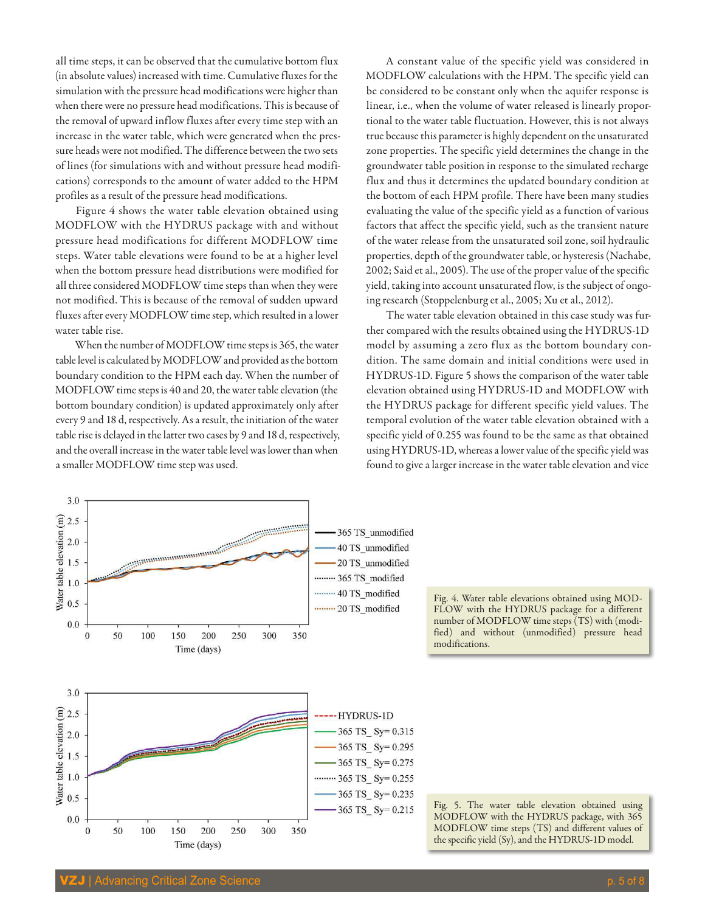all time steps, it can be observed that the cumulative bottom flux (in absolute values) increased with time. Cumulative fluxes for the simulation with the pressure head modifications were higher than when there were no pressure head modifications. This is because of the removal of upward inflow fluxes after every time step with an increase in the water table, which were generated when the pressure heads were not modified. The difference between the two sets of lines (for simulations with and without pressure head modifications) corresponds to the amount of water added to the HPM profiles as a result of the pressure head modifications.

Figure 4 shows the water table elevation obtained using MODFLOW with the HYDRUS package with and without pressure head modifications for different MODFLOW time steps. Water table elevations were found to be at a higher level when the bottom pressure head distributions were modified for all three considered MODFLOW time steps than when they were not modified. This is because of the removal of sudden upward fluxes after every MODFLOW time step, which resulted in a lower water table rise.

When the number of MODFLOW time steps is 365, the water table level is calculated by MODFLOW and provided as the bottom boundary condition to the HPM each day. When the number of MODFLOW time steps is 40 and 20, the water table elevation (the bottom boundary condition) is updated approximately only after every 9 and 18 d, respectively. As a result, the initiation of the water table rise is delayed in the latter two cases by 9 and 18 d, respectively, and the overall increase in the water table level was lower than when a smaller MODFLOW time step was used.

A constant value of the specific yield was considered in MODFLOW calculations with the HPM. The specific yield can be considered to be constant only when the aquifer response is linear, i.e., when the volume of water released is linearly proportional to the water table fluctuation. However, this is not always true because this parameter is highly dependent on the unsaturated zone properties. The specific yield determines the change in the groundwater table position in response to the simulated recharge flux and thus it determines the updated boundary condition at the bottom of each HPM profile. There have been many studies evaluating the value of the specific yield as a function of various factors that affect the specific yield, such as the transient nature of the water release from the unsaturated soil zone, soil hydraulic properties, depth of the groundwater table, or hysteresis (Nachabe, 2002; Said et al., 2005). The use of the proper value of the specific yield, taking into account unsaturated flow, is the subject of ongoing research (Stoppelenburg et al., 2005; Xu et al., 2012).

The water table elevation obtained in this case study was further compared with the results obtained using the HYDRUS-1D model by assuming a zero flux as the bottom boundary condition. The same domain and initial conditions were used in HYDRUS-1D. Figure 5 shows the comparison of the water table elevation obtained using HYDRUS-1D and MODFLOW with the HYDRUS package for different specific yield values. The temporal evolution of the water table elevation obtained with a specific yield of 0.255 was found to be the same as that obtained using HYDRUS-1D, whereas a lower value of the specific yield was found to give a larger increase in the water table elevation and vice



Fig. 4. Water table elevations obtained using MOD-FLOW with the HYDRUS package for a different number of MODFLOW time steps (TS) with (modified) and without (unmodified) pressure head modifications.

Fig. 5. The water table elevation obtained using MODFLOW with the HYDRUS package, with 365 MODFLOW time steps (TS) and different values of the specific yield (Sy), and the HYDRUS-1D model.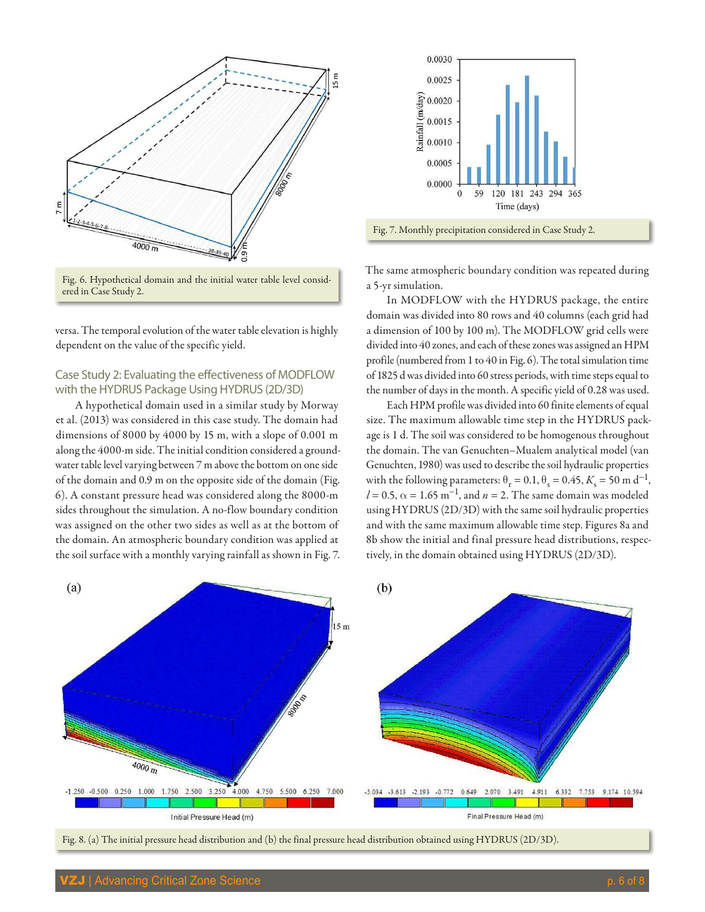

Fig. 6. Hypothetical domain and the initial water table level considered in Case Study 2.

versa. The temporal evolution of the water table elevation is highly dependent on the value of the specific yield.

## Case Study 2: Evaluating the efectiveness of MODFLOW with the HYDRUS Package Using HYDRUS (2D/3D)

A hypothetical domain used in a similar study by Morway et al. (2013) was considered in this case study. The domain had dimensions of 8000 by 4000 by 15 m, with a slope of 0.001 m along the 4000-m side. The initial condition considered a groundwater table level varying between 7 m above the bottom on one side of the domain and 0.9 m on the opposite side of the domain (Fig. 6). A constant pressure head was considered along the 8000-m sides throughout the simulation. A no-flow boundary condition was assigned on the other two sides as well as at the bottom of the domain. An atmospheric boundary condition was applied at the soil surface with a monthly varying rainfall as shown in Fig. 7.



The same atmospheric boundary condition was repeated during a 5-yr simulation.

In MODFLOW with the HYDRUS package, the entire domain was divided into 80 rows and 40 columns (each grid had a dimension of 100 by 100 m). The MODFLOW grid cells were divided into 40 zones, and each of these zones was assigned an HPM profile (numbered from 1 to 40 in Fig. 6). The total simulation time of 1825 d was divided into 60 stress periods, with time steps equal to the number of days in the month. A specific yield of 0.28 was used.

Each HPM profile was divided into 60 finite elements of equal size. The maximum allowable time step in the HYDRUS package is 1 d. The soil was considered to be homogenous throughout the domain. The van Genuchten–Mualem analytical model (van Genuchten, 1980) was used to describe the soil hydraulic properties with the following parameters:  $\theta_r = 0.1$ ,  $\theta_s = 0.45$ ,  $K_s = 50$  m d<sup>-1</sup>,  $l = 0.5$ ,  $\alpha = 1.65$  m<sup>-1</sup>, and  $n = 2$ . The same domain was modeled using HYDRUS (2D/3D) with the same soil hydraulic properties and with the same maximum allowable time step. Figures 8a and 8b show the initial and final pressure head distributions, respectively, in the domain obtained using HYDRUS (2D/3D).



Fig. 8. (a) The initial pressure head distribution and (b) the final pressure head distribution obtained using HYDRUS (2D/3D).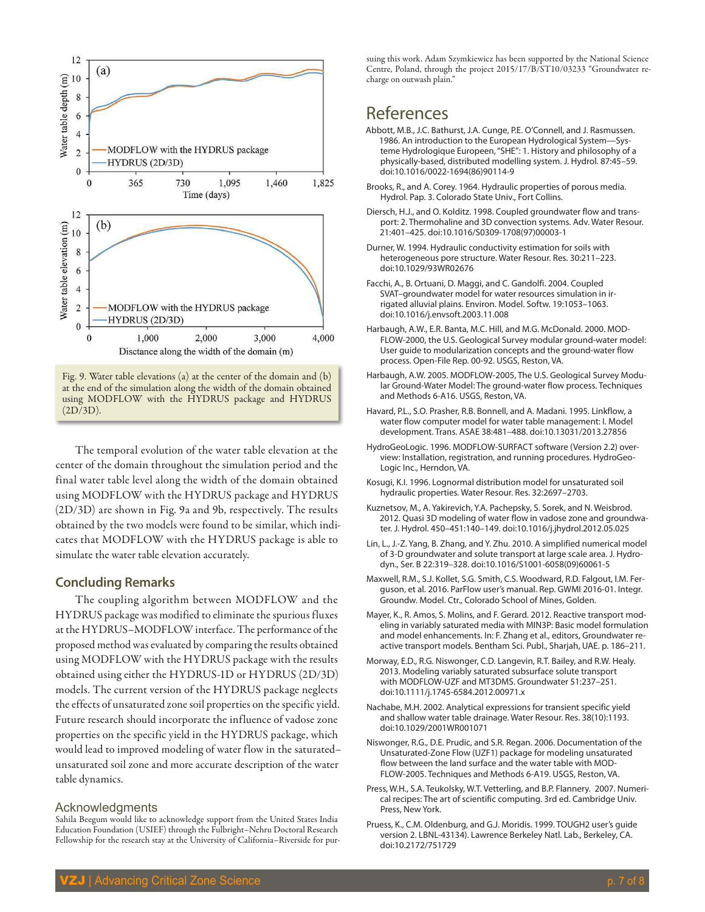

Fig. 9. Water table elevations (a) at the center of the domain and (b) at the end of the simulation along the width of the domain obtained using MODFLOW with the HYDRUS package and HYDRUS  $(2D/3D)$ .

The temporal evolution of the water table elevation at the center of the domain throughout the simulation period and the final water table level along the width of the domain obtained using MODFLOW with the HYDRUS package and HYDRUS (2D/3D) are shown in Fig. 9a and 9b, respectively. The results obtained by the two models were found to be similar, which indicates that MODFLOW with the HYDRUS package is able to simulate the water table elevation accurately.

#### **Concluding Remarks**

The coupling algorithm between MODFLOW and the HYDRUS package was modified to eliminate the spurious fluxes at the HYDRUS–MODFLOW interface. The performance of the proposed method was evaluated by comparing the results obtained using MODFLOW with the HYDRUS package with the results obtained using either the HYDRUS-1D or HYDRUS (2D/3D) models. The current version of the HYDRUS package neglects the effects of unsaturated zone soil properties on the specific yield. Future research should incorporate the influence of vadose zone properties on the specific yield in the HYDRUS package, which would lead to improved modeling of water flow in the saturated– unsaturated soil zone and more accurate description of the water table dynamics.

#### Acknowledgments

Sahila Beegum would like to acknowledge support from the United States India Education Foundation (USIEF) through the Fulbright–Nehru Doctoral Research Fellowship for the research stay at the University of California–Riverside for pursuing this work. Adam Szymkiewicz has been supported by the National Science Centre, Poland, through the project 2015/17/B/ST10/03233 "Groundwater recharge on outwash plain."

# References

- Abbott, M.B., J.C. Bathurst, J.A. Cunge, P.E. O'Connell, and J. Rasmussen. 1986. An introduction to the European Hydrological System—Systeme Hydrologique Europeen, "SHE": 1. History and philosophy of a physically-based, distributed modelling system. J. Hydrol. 87:45–59. doi:10.1016/0022-1694(86)90114-9
- Brooks, R., and A. Corey. 1964. Hydraulic properties of porous media. Hydrol. Pap. 3. Colorado State Univ., Fort Collins.
- Diersch, H.J., and O. Kolditz. 1998. Coupled groundwater flow and transport: 2. Thermohaline and 3D convection systems. Adv. Water Resour. 21:401–425. doi:10.1016/S0309-1708(97)00003-1
- Durner, W. 1994. Hydraulic conductivity estimation for soils with heterogeneous pore structure. Water Resour. Res. 30:211–223. doi:10.1029/93WR02676
- Facchi, A., B. Ortuani, D. Maggi, and C. Gandolfi. 2004. Coupled SVAT–groundwater model for water resources simulation in irrigated alluvial plains. Environ. Model. Softw. 19:1053–1063. doi:10.1016/j.envsoft.2003.11.008
- Harbaugh, A.W., E.R. Banta, M.C. Hill, and M.G. McDonald. 2000. MOD-FLOW-2000, the U.S. Geological Survey modular ground-water model: User guide to modularization concepts and the ground-water flow process. Open-File Rep. 00-92. USGS, Reston, VA.
- Harbaugh, A.W. 2005. MODFLOW-2005, The U.S. Geological Survey Modular Ground-Water Model: The ground-water flow process. Techniques and Methods 6-A16. USGS, Reston, VA.
- Havard, P.L., S.O. Prasher, R.B. Bonnell, and A. Madani. 1995. Linkflow, a water flow computer model for water table management: I. Model development. Trans. ASAE 38:481–488. doi:10.13031/2013.27856
- HydroGeoLogic. 1996. MODFLOW-SURFACT software (Version 2.2) overview: Installation, registration, and running procedures. HydroGeo-Logic Inc., Herndon, VA.
- Kosugi, K.I. 1996. Lognormal distribution model for unsaturated soil hydraulic properties. Water Resour. Res. 32:2697–2703.
- Kuznetsov, M., A. Yakirevich, Y.A. Pachepsky, S. Sorek, and N. Weisbrod. 2012. Quasi 3D modeling of water flow in vadose zone and groundwater. J. Hydrol. 450–451:140–149. doi:10.1016/j.jhydrol.2012.05.025
- Lin, L., J.-Z. Yang, B. Zhang, and Y. Zhu. 2010. A simplified numerical model of 3-D groundwater and solute transport at large scale area. J. Hydrodyn., Ser. B 22:319–328. doi:10.1016/S1001-6058(09)60061-5
- Maxwell, R.M., S.J. Kollet, S.G. Smith, C.S. Woodward, R.D. Falgout, I.M. Ferguson, et al. 2016. ParFlow user's manual. Rep. GWMI 2016-01. Integr. Groundw. Model. Ctr., Colorado School of Mines, Golden.
- Mayer, K., R. Amos, S. Molins, and F. Gerard. 2012. Reactive transport modeling in variably saturated media with MIN3P: Basic model formulation and model enhancements. In: F. Zhang et al., editors, Groundwater reactive transport models. Bentham Sci. Publ., Sharjah, UAE. p. 186–211.
- Morway, E.D., R.G. Niswonger, C.D. Langevin, R.T. Bailey, and R.W. Healy. 2013. Modeling variably saturated subsurface solute transport with MODFLOW-UZF and MT3DMS. Groundwater 51:237–251. doi:10.1111/j.1745-6584.2012.00971.x
- Nachabe, M.H. 2002. Analytical expressions for transient specific yield and shallow water table drainage. Water Resour. Res. 38(10):1193. doi:10.1029/2001WR001071
- Niswonger, R.G., D.E. Prudic, and S.R. Regan. 2006. Documentation of the Unsaturated-Zone Flow (UZF1) package for modeling unsaturated flow between the land surface and the water table with MOD-FLOW-2005. Techniques and Methods 6-A19. USGS, Reston, VA.
- Press, W.H., S.A. Teukolsky, W.T. Vetterling, and B.P. Flannery. 2007. Numerical recipes: The art of scientific computing. 3rd ed. Cambridge Univ. Press, New York.
- Pruess, K., C.M. Oldenburg, and G.J. Moridis. 1999. TOUGH2 user's guide version 2. LBNL-43134). Lawrence Berkeley Natl. Lab., Berkeley, CA. doi:10.2172/751729